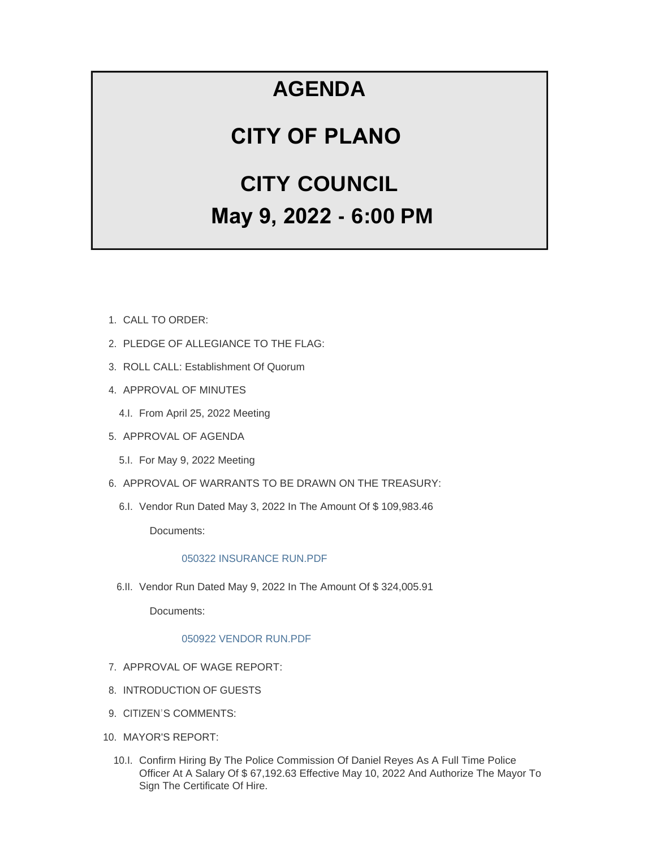# **AGENDA**

# **CITY OF PLANO**

# **CITY COUNCIL May 9, 2022 - 6:00 PM**

- CALL TO ORDER: 1.
- 2. PLEDGE OF ALLEGIANCE TO THE FLAG:
- 3. ROLL CALL: Establishment Of Quorum
- 4. APPROVAL OF MINUTES
	- 4.I. From April 25, 2022 Meeting
- 5. APPROVAL OF AGENDA
	- 5.I. For May 9, 2022 Meeting
- 6. APPROVAL OF WARRANTS TO BE DRAWN ON THE TREASURY:
	- 6.I. Vendor Run Dated May 3, 2022 In The Amount Of \$109,983.46

Documents:

## [050322 INSURANCE RUN.PDF](https://www.cityofplanoil.com/AgendaCenter/ViewFile/Item/8967?fileID=2504)

6.II. Vendor Run Dated May 9, 2022 In The Amount Of \$324,005.91

Documents:

## [050922 VENDOR RUN.PDF](https://www.cityofplanoil.com/AgendaCenter/ViewFile/Item/8968?fileID=2505)

- 7. APPROVAL OF WAGE REPORT:
- 8. INTRODUCTION OF GUESTS
- 9. CITIZEN'S COMMENTS:
- 10. MAYOR'S REPORT:
	- 10.I. Confirm Hiring By The Police Commission Of Daniel Reyes As A Full Time Police Officer At A Salary Of \$ 67,192.63 Effective May 10, 2022 And Authorize The Mayor To Sign The Certificate Of Hire.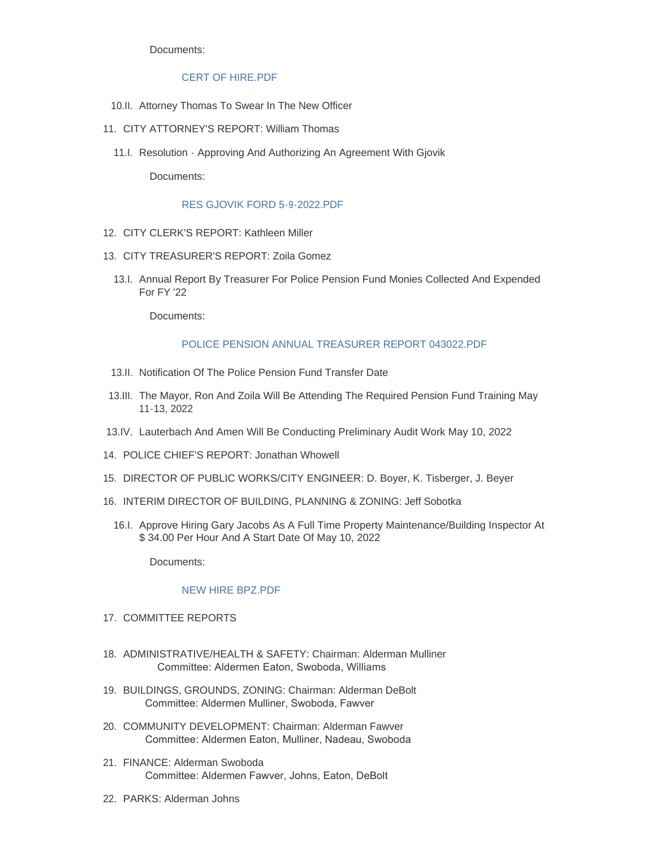Documents:

#### CERT OF HIRE PDF

- 10.II. Attorney Thomas To Swear In The New Officer
- 11. CITY ATTORNEY'S REPORT: William Thomas
	- 11.I. Resolution Approving And Authorizing An Agreement With Gjovik

Documents:

#### [RES GJOVIK FORD 5-9-2022.PDF](https://www.cityofplanoil.com/AgendaCenter/ViewFile/Item/8971?fileID=2508)

- CITY CLERK'S REPORT: Kathleen Miller 12.
- CITY TREASURER'S REPORT: Zoila Gomez 13.
	- 13.I. Annual Report By Treasurer For Police Pension Fund Monies Collected And Expended For FY '22

Documents:

#### [POLICE PENSION ANNUAL TREASURER REPORT 043022.PDF](https://www.cityofplanoil.com/AgendaCenter/ViewFile/Item/8972?fileID=2509)

- 13.II. Notification Of The Police Pension Fund Transfer Date
- 13.III. The Mayor, Ron And Zoila Will Be Attending The Required Pension Fund Training May 11-13, 2022
- 13.IV. Lauterbach And Amen Will Be Conducting Preliminary Audit Work May 10, 2022
- 14. POLICE CHIEF'S REPORT: Jonathan Whowell
- 15. DIRECTOR OF PUBLIC WORKS/CITY ENGINEER: D. Boyer, K. Tisberger, J. Beyer
- 16. INTERIM DIRECTOR OF BUILDING, PLANNING & ZONING: Jeff Sobotka
	- 16.I. Approve Hiring Gary Jacobs As A Full Time Property Maintenance/Building Inspector At \$ 34.00 Per Hour And A Start Date Of May 10, 2022

Documents:

#### [NEW HIRE BPZ.PDF](https://www.cityofplanoil.com/AgendaCenter/ViewFile/Item/9019?fileID=2526)

- 17. COMMITTEE REPORTS
- 18. ADMINISTRATIVE/HEALTH & SAFETY: Chairman: Alderman Mulliner Committee: Aldermen Eaton, Swoboda, Williams
- BUILDINGS, GROUNDS, ZONING: Chairman: Alderman DeBolt 19. Committee: Aldermen Mulliner, Swoboda, Fawver
- 20. COMMUNITY DEVELOPMENT: Chairman: Alderman Fawver Committee: Aldermen Eaton, Mulliner, Nadeau, Swoboda
- FINANCE: Alderman Swoboda 21. Committee: Aldermen Fawver, Johns, Eaton, DeBolt
- PARKS: Alderman Johns 22.